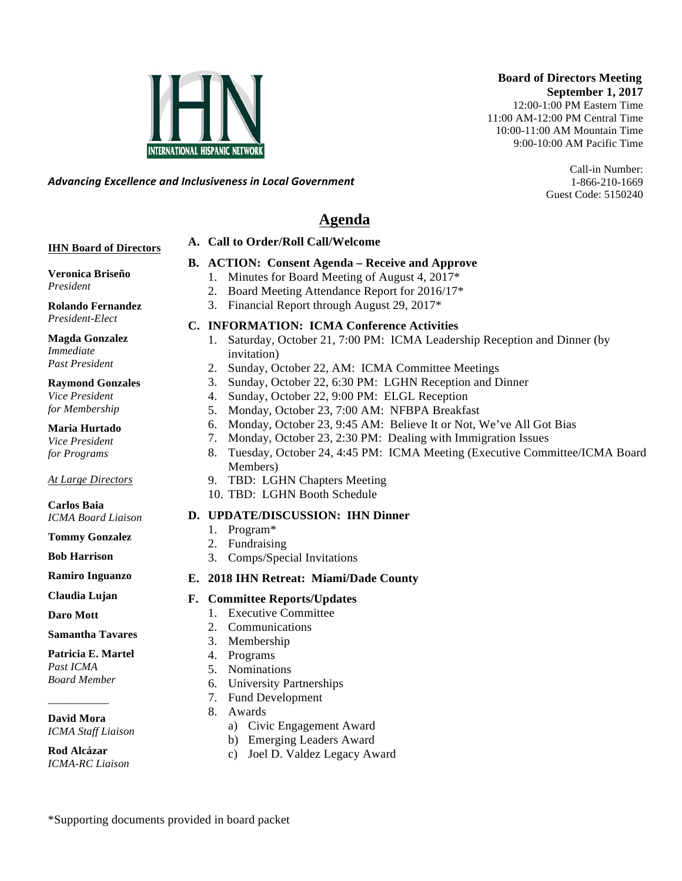#### **Board of Directors Meeting September 1, 2017**

12:00-1:00 PM Eastern Time 11:00 AM-12:00 PM Central Time 10:00-11:00 AM Mountain Time 9:00-10:00 AM Pacific Time

> Call-in Number: 1-866-210-1669 Guest Code: 5150240

*Advancing)Excellence)and)Inclusiveness)in)Local)Government*

# **Agenda**

#### **A. Call to Order/Roll Call/Welcome**

#### **IHN Board of Directors**

#### **B. ACTION: Consent Agenda – Receive and Approve**

- 1. Minutes for Board Meeting of August 4, 2017\*
	- 2. Board Meeting Attendance Report for 2016/17\*
	- 3. Financial Report through August 29, 2017\*

#### **C. INFORMATION: ICMA Conference Activities**

- 1. Saturday, October 21, 7:00 PM: ICMA Leadership Reception and Dinner (by invitation)
- 2. Sunday, October 22, AM: ICMA Committee Meetings
- 3. Sunday, October 22, 6:30 PM: LGHN Reception and Dinner
- 4. Sunday, October 22, 9:00 PM: ELGL Reception
- 5. Monday, October 23, 7:00 AM: NFBPA Breakfast
- 6. Monday, October 23, 9:45 AM: Believe It or Not, We've All Got Bias
- 7. Monday, October 23, 2:30 PM: Dealing with Immigration Issues
- 8. Tuesday, October 24, 4:45 PM: ICMA Meeting (Executive Committee/ICMA Board Members)
- 9. TBD: LGHN Chapters Meeting
- 10. TBD: LGHN Booth Schedule

#### **D. UPDATE/DISCUSSION: IHN Dinner**

- 1. Program\*
- 2. Fundraising
- 3. Comps/Special Invitations

#### **E. 2018 IHN Retreat: Miami/Dade County**

- **F. Committee Reports/Updates**
	- 1. Executive Committee
	- 2. Communications
	- 3. Membership
	- 4. Programs
	- 5. Nominations
	- 6. University Partnerships
	- 7. Fund Development
	- 8. Awards
		- a) Civic Engagement Award
		- b) Emerging Leaders Award
		- c) Joel D. Valdez Legacy Award

\*Supporting documents provided in board packet

# **Veronica Briseño**

*President*

**Rolando Fernandez** *President-Elect*

**Magda Gonzalez** *Immediate Past President*

#### **Raymond Gonzales**

*Vice President for Membership*

**Maria Hurtado**

*Vice President for Programs*

*At Large Directors*

#### **Carlos Baia** *ICMA Board Liaison*

**Tommy Gonzalez**

**Bob Harrison**

**Ramiro Inguanzo**

**Claudia Lujan**

**Daro Mott**

#### **Samantha Tavares**

#### **Patricia E. Martel**

*Past ICMA Board Member*

\_\_\_\_\_\_\_\_\_\_\_

**David Mora** *ICMA Staff Liaison*

**Rod Alcázar** *ICMA-RC Liaison*

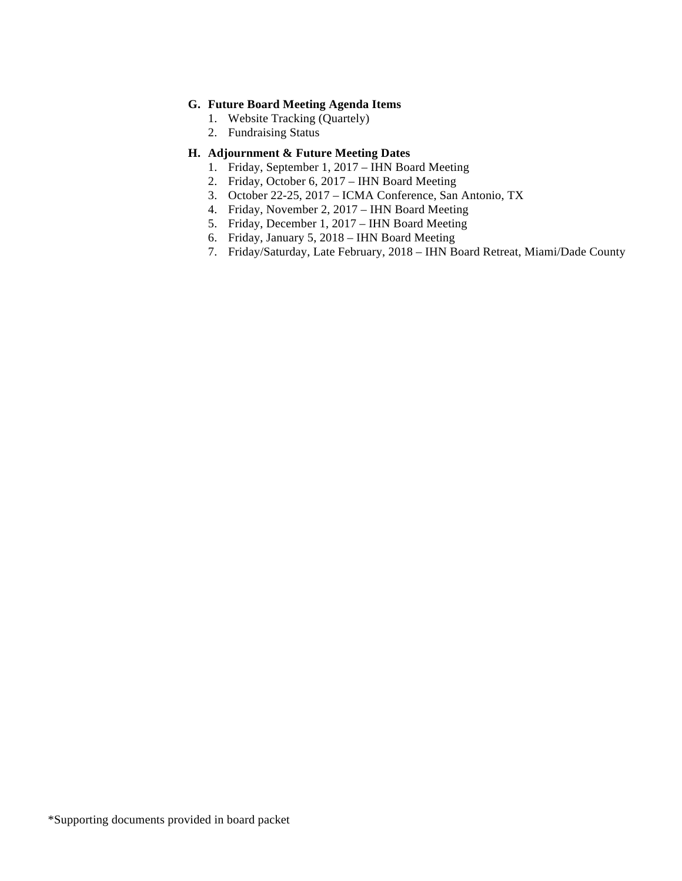#### **G. Future Board Meeting Agenda Items**

- 1. Website Tracking (Quartely)
- 2. Fundraising Status

#### **H. Adjournment & Future Meeting Dates**

- 1. Friday, September 1, 2017 IHN Board Meeting
- 2. Friday, October 6, 2017 IHN Board Meeting
- 3. October 22-25, 2017 ICMA Conference, San Antonio, TX
- 4. Friday, November 2, 2017 IHN Board Meeting
- 5. Friday, December 1, 2017 IHN Board Meeting
- 6. Friday, January 5, 2018 IHN Board Meeting
- 7. Friday/Saturday, Late February, 2018 IHN Board Retreat, Miami/Dade County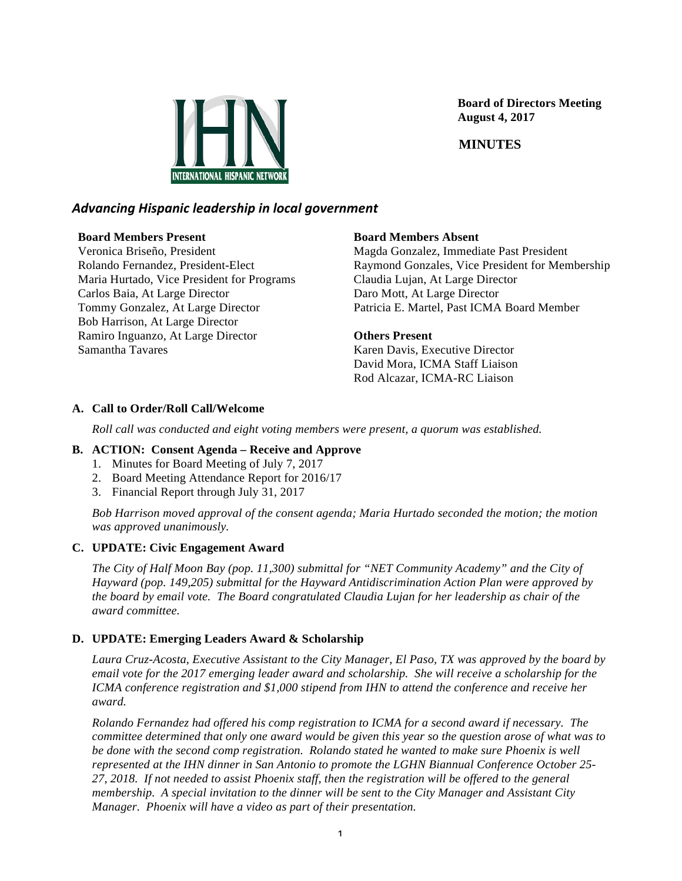

 **Board of Directors Meeting August 4, 2017**

 **MINUTES**

## *Advancing)Hispanic)leadership)in)local)government*

#### **Board Members Present**

Veronica Briseño, President Rolando Fernandez, President-Elect Maria Hurtado, Vice President for Programs Carlos Baia, At Large Director Tommy Gonzalez, At Large Director Bob Harrison, At Large Director Ramiro Inguanzo, At Large Director Samantha Tavares

#### **Board Members Absent**

Magda Gonzalez, Immediate Past President Raymond Gonzales, Vice President for Membership Claudia Lujan, At Large Director Daro Mott, At Large Director Patricia E. Martel, Past ICMA Board Member

#### **Others Present**

Karen Davis, Executive Director David Mora, ICMA Staff Liaison Rod Alcazar, ICMA-RC Liaison

#### **A. Call to Order/Roll Call/Welcome**

*Roll call was conducted and eight voting members were present, a quorum was established.*

#### **B. ACTION: Consent Agenda – Receive and Approve**

- 1. Minutes for Board Meeting of July 7, 2017
- 2. Board Meeting Attendance Report for 2016/17
- 3. Financial Report through July 31, 2017

*Bob Harrison moved approval of the consent agenda; Maria Hurtado seconded the motion; the motion was approved unanimously.*

#### **C. UPDATE: Civic Engagement Award**

*The City of Half Moon Bay (pop. 11,300) submittal for "NET Community Academy" and the City of Hayward (pop. 149,205) submittal for the Hayward Antidiscrimination Action Plan were approved by the board by email vote. The Board congratulated Claudia Lujan for her leadership as chair of the award committee.* 

#### **D. UPDATE: Emerging Leaders Award & Scholarship**

*Laura Cruz-Acosta, Executive Assistant to the City Manager, El Paso, TX was approved by the board by email vote for the 2017 emerging leader award and scholarship. She will receive a scholarship for the ICMA conference registration and \$1,000 stipend from IHN to attend the conference and receive her award.* 

*Rolando Fernandez had offered his comp registration to ICMA for a second award if necessary. The committee determined that only one award would be given this year so the question arose of what was to be done with the second comp registration. Rolando stated he wanted to make sure Phoenix is well represented at the IHN dinner in San Antonio to promote the LGHN Biannual Conference October 25- 27, 2018. If not needed to assist Phoenix staff, then the registration will be offered to the general membership. A special invitation to the dinner will be sent to the City Manager and Assistant City Manager. Phoenix will have a video as part of their presentation.*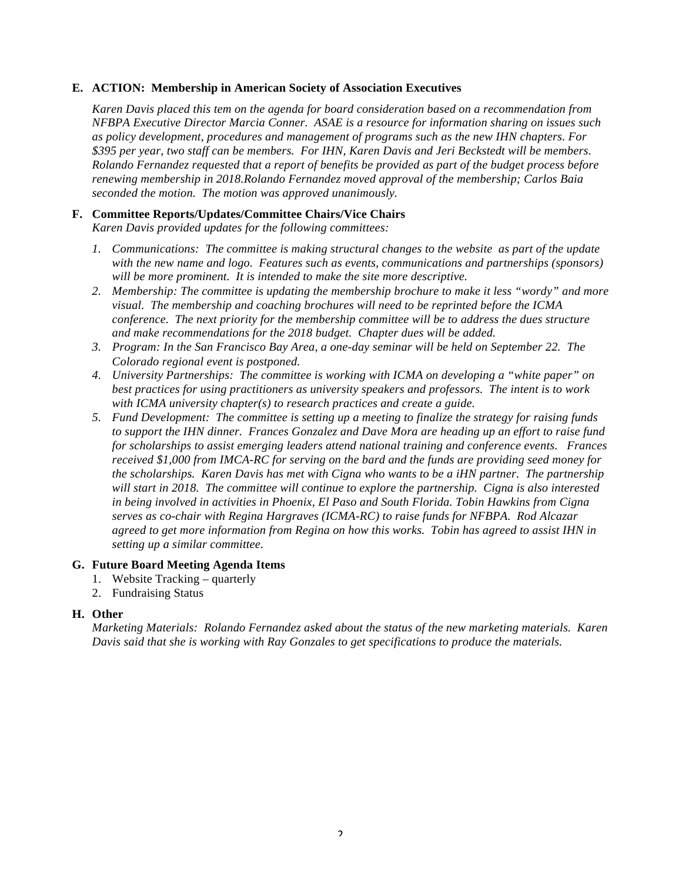#### **E. ACTION: Membership in American Society of Association Executives**

*Karen Davis placed this tem on the agenda for board consideration based on a recommendation from NFBPA Executive Director Marcia Conner. ASAE is a resource for information sharing on issues such as policy development, procedures and management of programs such as the new IHN chapters. For \$395 per year, two staff can be members. For IHN, Karen Davis and Jeri Beckstedt will be members. Rolando Fernandez requested that a report of benefits be provided as part of the budget process before renewing membership in 2018.Rolando Fernandez moved approval of the membership; Carlos Baia seconded the motion. The motion was approved unanimously.* 

#### **F. Committee Reports/Updates/Committee Chairs/Vice Chairs**

*Karen Davis provided updates for the following committees:*

- *1. Communications: The committee is making structural changes to the website as part of the update with the new name and logo. Features such as events, communications and partnerships (sponsors) will be more prominent. It is intended to make the site more descriptive.*
- *2. Membership: The committee is updating the membership brochure to make it less "wordy" and more visual. The membership and coaching brochures will need to be reprinted before the ICMA conference. The next priority for the membership committee will be to address the dues structure and make recommendations for the 2018 budget. Chapter dues will be added.*
- *3. Program: In the San Francisco Bay Area, a one-day seminar will be held on September 22. The Colorado regional event is postponed.*
- *4. University Partnerships: The committee is working with ICMA on developing a "white paper" on best practices for using practitioners as university speakers and professors. The intent is to work with ICMA university chapter(s) to research practices and create a guide.*
- *5. Fund Development: The committee is setting up a meeting to finalize the strategy for raising funds to support the IHN dinner. Frances Gonzalez and Dave Mora are heading up an effort to raise fund for scholarships to assist emerging leaders attend national training and conference events. Frances received \$1,000 from IMCA-RC for serving on the bard and the funds are providing seed money for the scholarships. Karen Davis has met with Cigna who wants to be a iHN partner. The partnership will start in 2018. The committee will continue to explore the partnership. Cigna is also interested in being involved in activities in Phoenix, El Paso and South Florida. Tobin Hawkins from Cigna serves as co-chair with Regina Hargraves (ICMA-RC) to raise funds for NFBPA. Rod Alcazar agreed to get more information from Regina on how this works. Tobin has agreed to assist IHN in setting up a similar committee.*

#### **G. Future Board Meeting Agenda Items**

- 1. Website Tracking *–* quarterly
- 2. Fundraising Status

#### **H. Other**

*Marketing Materials: Rolando Fernandez asked about the status of the new marketing materials. Karen Davis said that she is working with Ray Gonzales to get specifications to produce the materials.*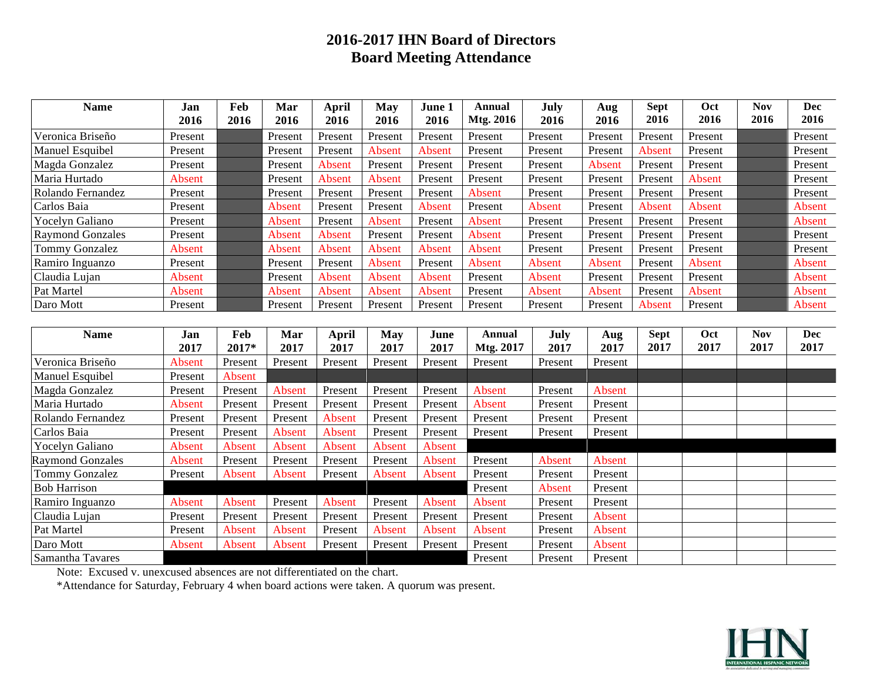# **2016-2017 IHN Board of Directors Board Meeting Attendance**

| <b>Name</b>             | Jan           | Feb     | Mar           | April   | <b>May</b> | June 1  | Annual        | July    | Aug           | <b>Sept</b> | Oct           | <b>Nov</b> | <b>Dec</b> |
|-------------------------|---------------|---------|---------------|---------|------------|---------|---------------|---------|---------------|-------------|---------------|------------|------------|
|                         | 2016          | 2016    | 2016          | 2016    | 2016       | 2016    | Mtg. 2016     | 2016    | 2016          | 2016        | 2016          | 2016       | 2016       |
| Veronica Briseño        | Present       |         | Present       | Present | Present    | Present | Present       | Present | Present       | Present     | Present       |            | Present    |
| Manuel Esquibel         | Present       |         | Present       | Present | Absent     | Absent  | Present       | Present | Present       | Absent      | Present       |            | Present    |
| Magda Gonzalez          | Present       |         | Present       | Absent  | Present    | Present | Present       | Present | Absent        | Present     | Present       |            | Present    |
| Maria Hurtado           | Absent        |         | Present       | Absent  | Absent     | Present | Present       | Present | Present       | Present     | Absent        |            | Present    |
| Rolando Fernandez       | Present       |         | Present       | Present | Present    | Present | Absent        | Present | Present       | Present     | Present       |            | Present    |
| Carlos Baia             | Present       |         | Absent        | Present | Present    | Absent  | Present       | Absent  | Present       | Absent      | <b>Absent</b> |            | Absent     |
| Yocelyn Galiano         | Present       |         | Absent        | Present | Absent     | Present | Absent        | Present | Present       | Present     | Present       |            | Absent     |
| <b>Raymond Gonzales</b> | Present       |         | Absent        | Absent  | Present    | Present | Absent        | Present | Present       | Present     | Present       |            | Present    |
| Tommy Gonzalez          | <b>Absent</b> |         | Absent        | Absent  | Absent     | Absent  | Absent        | Present | Present       | Present     | Present       |            | Present    |
| Ramiro Inguanzo         | Present       |         | Present       | Present | Absent     | Present | Absent        | Absent  | Absent        | Present     | <b>Absent</b> |            | Absent     |
| Claudia Lujan           | Absent        |         | Present       | Absent  | Absent     | Absent  | Present       | Absent  | Present       | Present     | Present       |            | Absent     |
| Pat Martel              | Absent        |         | Absent        | Absent  | Absent     | Absent  | Present       | Absent  | Absent        | Present     | <b>Absent</b> |            | Absent     |
| Daro Mott               | Present       |         | Present       | Present | Present    | Present | Present       | Present | Present       | Absent      | Present       |            | Absent     |
|                         |               |         |               |         |            |         |               |         |               |             |               |            |            |
| <b>Name</b>             | Jan           | Feb     | Mar           | April   | <b>May</b> | June    | <b>Annual</b> | July    | Aug           | <b>Sept</b> | Oct           | <b>Nov</b> | <b>Dec</b> |
|                         | 2017          | 2017*   | 2017          | 2017    | 2017       | 2017    | Mtg. 2017     | 2017    | 2017          | 2017        | 2017          | 2017       | 2017       |
| Veronica Briseño        | <b>Absent</b> | Present | Present       | Present | Present    | Present | Present       | Present | Present       |             |               |            |            |
| Manuel Esquibel         | Present       | Absent  |               |         |            |         |               |         |               |             |               |            |            |
| Magda Gonzalez          | Present       | Present | Absent        | Present | Present    | Present | Absent        | Present | Absent        |             |               |            |            |
| Maria Hurtado           | Absent        | Present | Present       | Present | Present    | Present | Absent        | Present | Present       |             |               |            |            |
| Rolando Fernandez       | Present       | Present | Present       | Absent  | Present    | Present | Present       | Present | Present       |             |               |            |            |
| Carlos Baia             | Present       | Present | Absent        | Absent  | Present    | Present | Present       | Present | Present       |             |               |            |            |
| Yocelyn Galiano         | Absent        | Absent  | <b>Absent</b> | Absent  | Absent     | Absent  |               |         |               |             |               |            |            |
| <b>Raymond Gonzales</b> | Absent        | Present | Present       | Present | Present    | Absent  | Present       | Absent  | Absent        |             |               |            |            |
| <b>Tommy Gonzalez</b>   | Present       | Absent  | Absent        | Present | Absent     | Absent  | Present       | Present | Present       |             |               |            |            |
| <b>Bob Harrison</b>     |               |         |               |         |            |         | Present       | Absent  | Present       |             |               |            |            |
| Ramiro Inguanzo         | Absent        | Absent  | Present       | Absent  | Present    | Absent  | Absent        | Present | Present       |             |               |            |            |
| Claudia Lujan           | Present       | Present | Present       | Present | Present    | Present | Present       | Present | Absent        |             |               |            |            |
| Pat Martel              | Present       | Absent  | <b>Absent</b> | Present | Absent     | Absent  | Absent        | Present | <b>Absent</b> |             |               |            |            |
| Daro Mott               | Absent        | Absent  | Absent        | Present | Present    | Present | Present       | Present | <b>Absent</b> |             |               |            |            |
| Samantha Tavares        |               |         |               |         |            |         | Present       | Present | Present       |             |               |            |            |

Note: Excused v. unexcused absences are not differentiated on the chart.

\*Attendance for Saturday, February 4 when board actions were taken. A quorum was present.

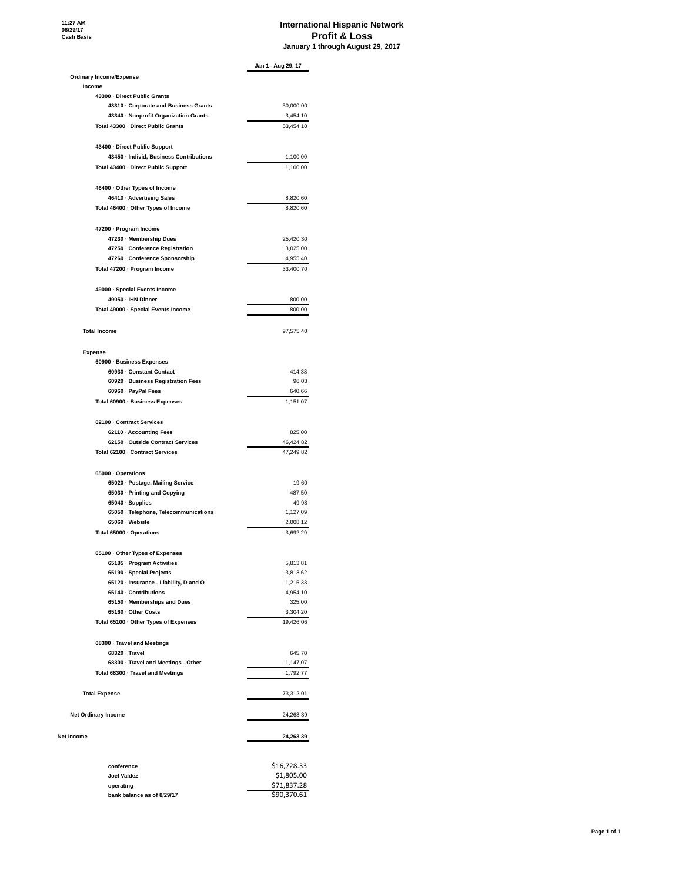# **International Hispanic Network Profit & Loss January 1 through August 29, 2017**

|                                                                                | Jan 1 - Aug 29, 17    |
|--------------------------------------------------------------------------------|-----------------------|
| <b>Ordinary Income/Expense</b>                                                 |                       |
| Income                                                                         |                       |
| 43300 · Direct Public Grants                                                   |                       |
| 43310 · Corporate and Business Grants<br>43340 · Nonprofit Organization Grants | 50,000.00<br>3,454.10 |
| Total 43300 · Direct Public Grants                                             | 53,454.10             |
|                                                                                |                       |
| 43400 · Direct Public Support                                                  |                       |
| 43450 · Individ, Business Contributions                                        | 1,100.00              |
| Total 43400 · Direct Public Support                                            | 1,100.00              |
| 46400 · Other Types of Income                                                  |                       |
| 46410 · Advertising Sales                                                      | 8.820.60              |
| Total 46400 · Other Types of Income                                            | 8,820.60              |
| 47200 · Program Income                                                         |                       |
| 47230 · Membership Dues                                                        | 25,420.30             |
| 47250 · Conference Registration                                                | 3,025.00              |
| 47260 · Conference Sponsorship                                                 | 4,955.40              |
| Total 47200 · Program Income                                                   | 33,400.70             |
| 49000 · Special Events Income                                                  |                       |
| 49050 · IHN Dinner                                                             | 800.00                |
| Total 49000 · Special Events Income                                            | 800.00                |
|                                                                                |                       |
| <b>Total Income</b>                                                            | 97,575.40             |
| <b>Expense</b>                                                                 |                       |
| 60900 · Business Expenses                                                      |                       |
| 60930 · Constant Contact                                                       | 414.38                |
| 60920 · Business Registration Fees                                             | 96.03                 |
| 60960 · PayPal Fees                                                            | 640.66                |
| Total 60900 · Business Expenses                                                | 1,151.07              |
| 62100 · Contract Services                                                      |                       |
| 62110 · Accounting Fees                                                        | 825.00                |
| 62150 · Outside Contract Services                                              | 46,424.82             |
| Total 62100 · Contract Services                                                | 47,249.82             |
| 65000 · Operations                                                             |                       |
| 65020 · Postage, Mailing Service                                               | 19.60                 |
| 65030 · Printing and Copying                                                   | 487.50                |
| 65040 · Supplies                                                               | 49.98                 |
| 65050 · Telephone, Telecommunications                                          | 1,127.09              |
| 65060 · Website                                                                | 2,008.12              |
| Total 65000 · Operations                                                       | 3,692.29              |
| 65100 · Other Types of Expenses                                                |                       |
| 65185 · Program Activities                                                     | 5,813.81              |
| 65190 · Special Projects                                                       | 3,813.62              |
| 65120 · Insurance - Liability, D and O                                         | 1,215.33              |
| 65140 · Contributions                                                          | 4,954.10              |
| 65150 · Memberships and Dues                                                   | 325.00                |
| 65160 · Other Costs                                                            | 3,304.20              |
| Total 65100 · Other Types of Expenses                                          | 19,426.06             |
| 68300 · Travel and Meetings                                                    |                       |
| 68320 · Travel                                                                 | 645.70                |
| 68300 · Travel and Meetings - Other                                            | 1,147.07              |
| Total 68300 · Travel and Meetings                                              | 1,792.77              |
| <b>Total Expense</b>                                                           | 73,312.01             |
|                                                                                |                       |
| <b>Net Ordinary Income</b>                                                     | 24,263.39             |
| Net Income                                                                     | 24,263.39             |
|                                                                                | \$16,728.33           |
| conference<br><b>Joel Valdez</b>                                               | \$1,805.00            |
| operating                                                                      | \$71,837.28           |
| bank balance as of 8/29/17                                                     | \$90,370.61           |
|                                                                                |                       |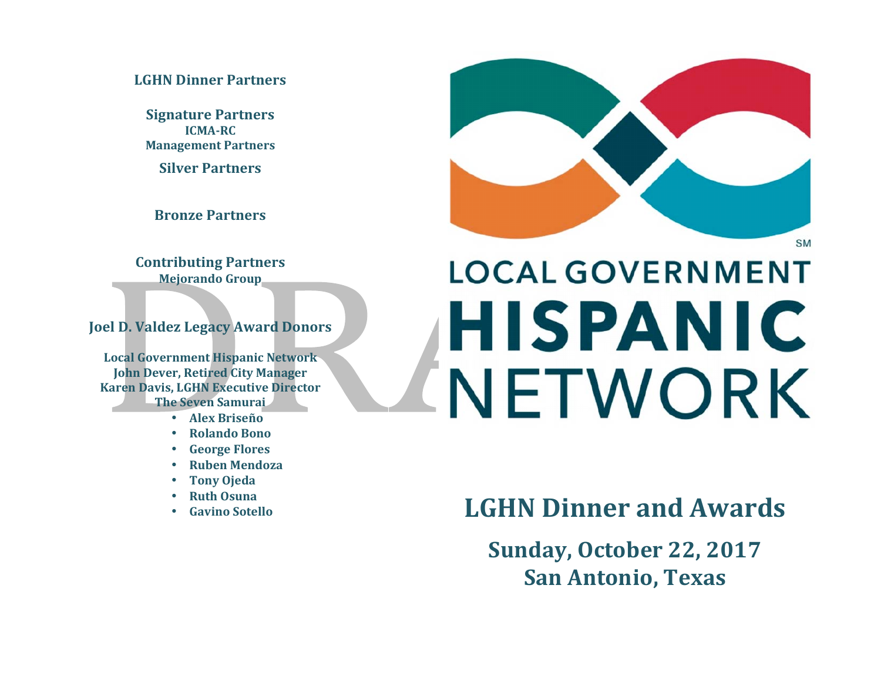# **LGHN%Dinner%Partners%**

**Signature Partners ICMA-RC Management Partners** 

**Silver Partners** 

**Bronze Partners**

**Contributing%Partners Mejorando Group** 

**Joel D. Valdez Legacy Award Donors** 

Local Government Hispanic Network **John Dever, Retired City Manager Karen Davis, LGHN Executive Director The Seven Samurai** 

- **Alex%Briseño**
- **Rolando%Bono**
- **George Flores**
- **Ruben%Mendoza**
- **Tony%Ojeda**
- **Ruth%Osuna**
- Gavino Sotello



# **LOCAL GOVERNMENT HISPANIC** NETWORK

# **LGHN Dinner and Awards**

**Sunday, October 22, 2017 San%Antonio,%Texas**